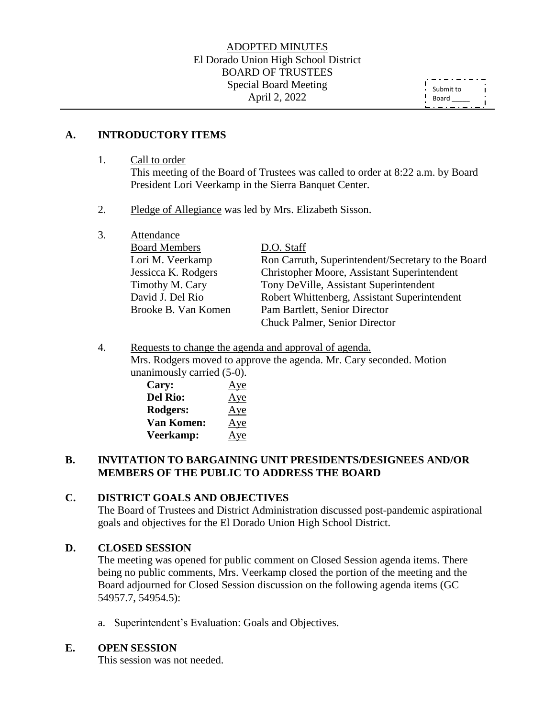### ADOPTED MINUTES El Dorado Union High School District BOARD OF TRUSTEES Special Board Meeting April 2, 2022

Submit to  $\mathbf{I}$ Board \_\_\_\_\_

### **A. INTRODUCTORY ITEMS**

1. Call to order

This meeting of the Board of Trustees was called to order at 8:22 a.m. by Board President Lori Veerkamp in the Sierra Banquet Center.

- 2. Pledge of Allegiance was led by Mrs. Elizabeth Sisson.
- 3. Attendance

| <b>Board Members</b> | D.O. Staff                                         |
|----------------------|----------------------------------------------------|
| Lori M. Veerkamp     | Ron Carruth, Superintendent/Secretary to the Board |
| Jessicca K. Rodgers  | Christopher Moore, Assistant Superintendent        |
| Timothy M. Cary      | Tony DeVille, Assistant Superintendent             |
| David J. Del Rio     | Robert Whittenberg, Assistant Superintendent       |
| Brooke B. Van Komen  | Pam Bartlett, Senior Director                      |
|                      | Chuck Palmer, Senior Director                      |

4. Requests to change the agenda and approval of agenda. Mrs. Rodgers moved to approve the agenda. Mr. Cary seconded. Motion unanimously carried (5-0).

| Cary:             | Aye |
|-------------------|-----|
| <b>Del Rio:</b>   | Aye |
| Rodgers:          | Aye |
| <b>Van Komen:</b> | Aye |
| Veerkamp:         | Aye |

# **B. INVITATION TO BARGAINING UNIT PRESIDENTS/DESIGNEES AND/OR MEMBERS OF THE PUBLIC TO ADDRESS THE BOARD**

### **C. DISTRICT GOALS AND OBJECTIVES**

The Board of Trustees and District Administration discussed post-pandemic aspirational goals and objectives for the El Dorado Union High School District.

### **D. CLOSED SESSION**

The meeting was opened for public comment on Closed Session agenda items. There being no public comments, Mrs. Veerkamp closed the portion of the meeting and the Board adjourned for Closed Session discussion on the following agenda items (GC 54957.7, 54954.5):

a. Superintendent's Evaluation: Goals and Objectives.

### **E. OPEN SESSION**

This session was not needed.